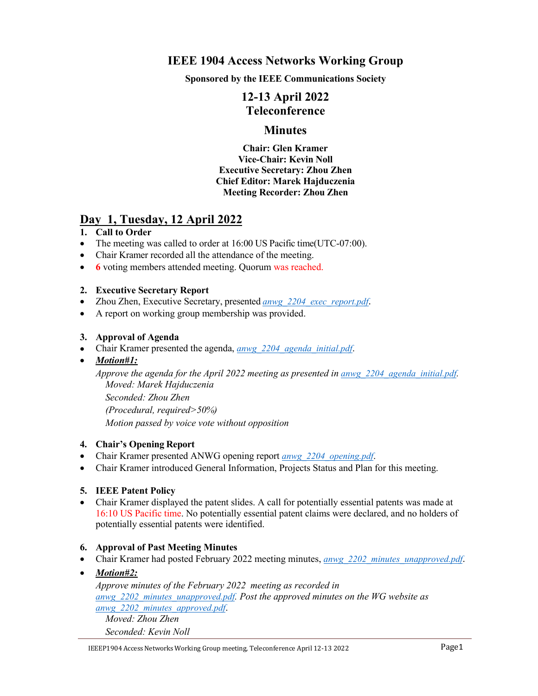# **IEEE 1904 Access Networks Working Group**

**Sponsored by the IEEE Communications Society**

# **12-13 April 2022 Teleconference**

# **Minutes**

**Chair: Glen Kramer Vice-Chair: Kevin Noll Executive Secretary: Zhou Zhen Chief Editor: Marek Hajduczenia Meeting Recorder: Zhou Zhen**

# **Day 1, Tuesday, 12 April 2022**

#### **1. Call to Order**

- The meeting was called to order at 16:00 US Pacific time(UTC-07:00).
- Chair Kramer recorded all the attendance of the meeting.
- **6** voting members attended meeting. Quorum was reached.

#### **2. Executive Secretary Report**

- Zhou Zhen, Executive Secretary, presented *[anwg\\_2204\\_exec\\_report.pdf](https://www.ieee1904.org/meeting_archive/2022/04/anwg_2204_exec_report.pdf)*.
- A report on working group membership was provided.

#### **3. Approval of Agenda**

- Chair Kramer presented the agenda,*[anwg\\_2204\\_agenda\\_initial.pdf](https://www.ieee1904.org/meeting_archive/2022/04/anwg_2204_agenda_initial.pdf)*.
- *Motion#1:*

*Approve the agenda for the April 2022 meeting as presented in [anwg\\_2204\\_agenda\\_initial.pdf](https://www.ieee1904.org/meeting_archive/2022/04/anwg_2204_agenda_initial.pdf). Moved: Marek Hajduczenia Seconded: Zhou Zhen (Procedural, required>50%)*

*Motion passed by voice vote without opposition*

#### **4. Chair's Opening Report**

- Chair Kramer presented ANWG opening report *[anwg\\_2204\\_opening.pdf](https://www.ieee1904.org/meeting_archive/2022/04/anwg_2204_opening.pdf)*.
- Chair Kramer introduced General Information, Projects Status and Plan for this meeting.

#### **5. IEEE Patent Policy**

 Chair Kramer displayed the patent slides. A call for potentially essential patents was made at 16:10 US Pacific time. No potentially essential patent claims were declared, and no holders of potentially essential patents were identified.

#### **6. Approval of Past Meeting Minutes**

- Chair Kramer had posted February 2022 meeting minutes, *anwg* 2202 *minutes unapproved.pdf*.
- *Motion#2:*

*Approve minutes of the February 2022 meeting as recorded in [anwg\\_2202\\_minutes\\_unapproved.pdf](https://www.ieee1904.org/meeting_archive/2022/02/anwg_2202_minutes_unapproved.pdf). Post the approved minutes on the WG website as [anwg\\_2202\\_minutes\\_approved.pdf](https://www.ieee1904.org/meeting_archive/2022/04/anwg_2202_minutes_approved.pdf)*. *Moved: Zhou Zhen*

*Seconded: Kevin Noll*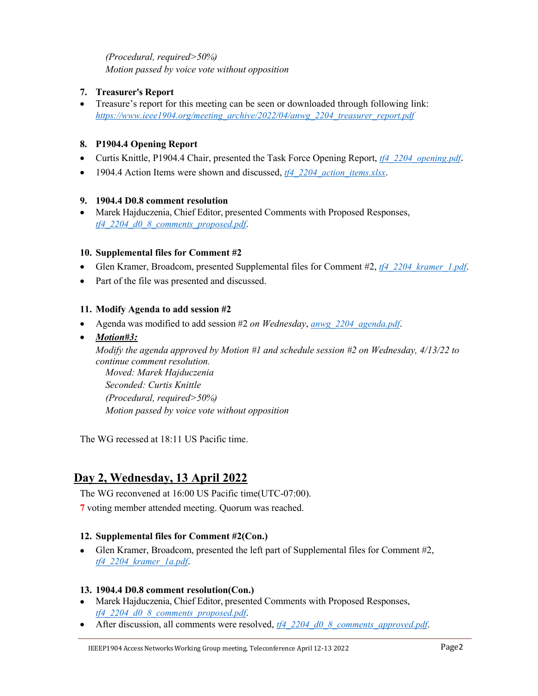## *(Procedural, required>50%) Motion passed by voice vote without opposition*

# **7. Treasurer's Report**

 Treasure's report for this meeting can be seen or downloaded through following link: *[https://www.ieee1904.org/meeting\\_archive/2022/04/anwg\\_2204\\_treasurer\\_report.pdf](https://www.ieee1904.org/meeting_archive/2022/02/anwg_2202_treasurer_report.pdf)*

## **8. P1904.4 Opening Report**

- Curtis Knittle, P1904.4 Chair, presented the Task Force Opening Report, *[tf4\\_2204\\_opening.pdf](https://www.ieee1904.org/4/meeting_archive/2022/04/tf4_2204_opening.pdf)*.
- 1904.4 Action Items were shown and discussed, *[tf4\\_2204\\_action\\_items.xlsx](https://www.ieee1904.org/4/meeting_archive/2022/04/tf4_2204_action_items.xlsx)*.

#### **9. 1904.4 D0.8 comment resolution**

 Marek Hajduczenia, Chief Editor, presented Comments with Proposed Responses, *[tf4\\_2204\\_d0\\_8\\_comments\\_proposed.pdf](https://www.ieee1904.org/4/meeting_archive/2022/04/tf4_2204_d0_8_comments_proposed.pdf)*.

## **10. Supplemental files for Comment #2**

- Glen Kramer, Broadcom, presented Supplemental files for Comment #2, *[tf4\\_2204\\_kramer\\_1.pdf](https://www.ieee1904.org/4/meeting_archive/2022/04/tf4_2204_kramer_1.pdf)*.
- Part of the file was presented and discussed.

## **11. Modify Agenda to add session #2**

- Agenda was modified to add session #2 *on Wednesday*, *[anwg\\_2204\\_agenda.pdf](https://www.ieee1904.org/meeting_archive/2022/04/anwg_2204_agenda.pdf)*.
- *Motion#3:*

*Modify the agenda approved by Motion #1 and schedule session #2 on Wednesday, 4/13/22 to continue comment resolution. Moved: Marek Hajduczenia Seconded: Curtis Knittle (Procedural, required>50%) Motion passed by voice vote without opposition*

The WG recessed at 18:11 US Pacific time.

# **Day 2, Wednesday, 13 April 2022**

The WG reconvened at 16:00 US Pacific time(UTC-07:00).

**7** voting member attended meeting. Quorum was reached.

# **12. Supplemental files for Comment #2(Con.)**

 Glen Kramer, Broadcom, presented the left part of Supplemental files for Comment #2, *[tf4\\_2204\\_kramer\\_1a.pdf](https://www.ieee1904.org/4/meeting_archive/2022/04/tf4_2204_kramer_1a.pdf)*.

#### **13. 1904.4 D0.8 comment resolution(Con.)**

- Marek Hajduczenia, Chief Editor, presented Comments with Proposed Responses, *[tf4\\_2204\\_d0\\_8\\_comments\\_proposed.pdf](https://www.ieee1904.org/4/meeting_archive/2022/04/tf4_2204_d0_8_comments_proposed.pdf)*.
- After discussion, all comments were resolved, *[tf4\\_2204\\_d0\\_8\\_comments\\_approved.pdf](https://www.ieee1904.org/4/meeting_archive/2022/04/tf4_2204_d0_8_comments_approved.pdf)*.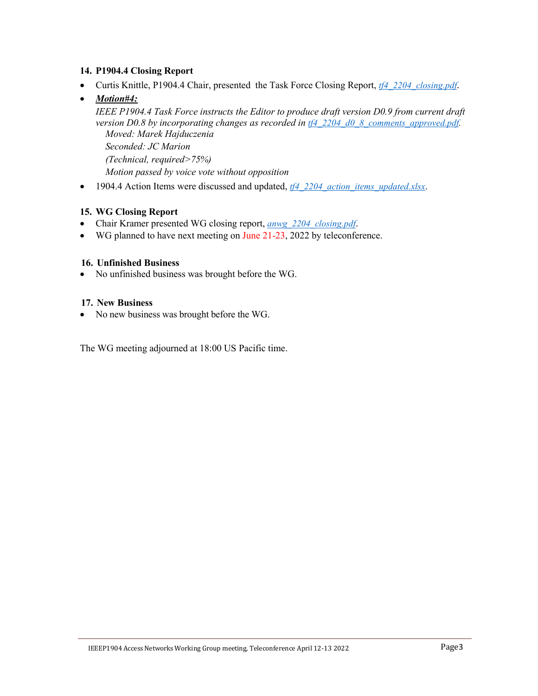#### **14. P1904.4 Closing Report**

- Curtis Knittle, P1904.4 Chair, presented the Task Force Closing Report, *[tf4\\_2204\\_closing.pdf](https://www.ieee1904.org/4/meeting_archive/2022/04/tf4_2204_closing.pdf)*.
- *Motion#4: IEEE P1904.4 Task Force instructs the Editor to produce draft version D0.9 from current draft version D0.8 by incorporating changes as recorded in [tf4\\_2204\\_d0\\_8\\_comments\\_approved.pdf](https://www.ieee1904.org/4/meeting_archive/2022/04/tf4_2204_d0_8_comments_approved.pdf). Moved: Marek Hajduczenia*

*Seconded: JC Marion (Technical, required>75%) Motion passed by voice vote without opposition*

• 1904.4 Action Items were discussed and updated, *tf4* 2204 action *items* updated.xlsx.

#### **15. WG Closing Report**

- Chair Kramer presented WG closing report, *[anwg\\_2204\\_closing.pdf](https://www.ieee1904.org/meeting_archive/2022/04/anwg_2204_closing.pdf)*.
- WG planned to have next meeting on June 21-23, 2022 by teleconference.

#### **16. Unfinished Business**

• No unfinished business was brought before the WG.

#### **17. New Business**

• No new business was brought before the WG.

The WG meeting adjourned at 18:00 US Pacific time.